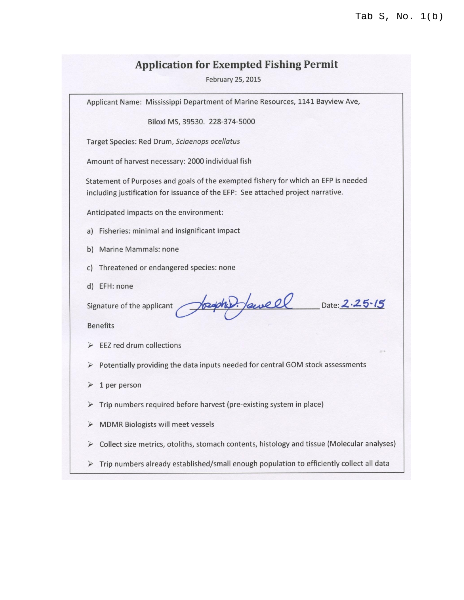## **Application for Exempted Fishing Permit**

February 25, 2015

Applicant Name: Mississippi Department of Marine Resources, 1141 Bayview Ave,

Biloxi MS, 39530. 228-374-5000

Target Species: Red Drum, Sciaenops ocellatus

Amount of harvest necessary: 2000 individual fish

Statement of Purposes and goals of the exempted fishery for which an EFP is needed including justification for issuance of the EFP: See attached project narrative.

Anticipated impacts on the environment:

- a) Fisheries: minimal and insignificant impact
- b) Marine Mammals: none
- c) Threatened or endangered species: none
- d) EFH: none

Signature of the applicant

**Benefits** 

- $\triangleright$  EEZ red drum collections
- > Potentially providing the data inputs needed for central GOM stock assessments

paphy. Jawell Date: 2.25.15

- $\triangleright$  1 per person
- $\triangleright$  Trip numbers required before harvest (pre-existing system in place)
- > MDMR Biologists will meet vessels
- $\triangleright$  Collect size metrics, otoliths, stomach contents, histology and tissue (Molecular analyses)
- $\triangleright$  Trip numbers already established/small enough population to efficiently collect all data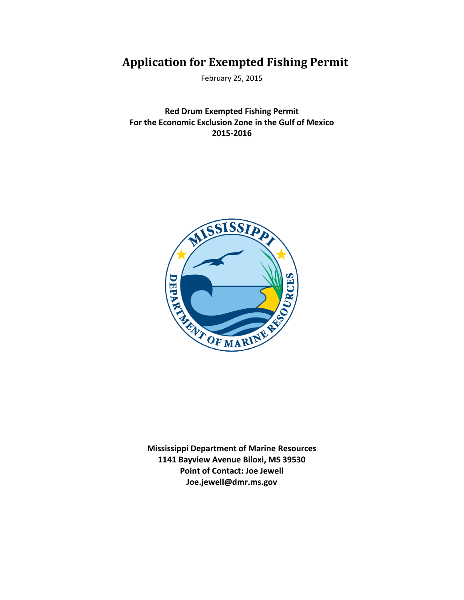# **Application for Exempted Fishing Permit**

February 25, 2015

**Red Drum Exempted Fishing Permit For the Economic Exclusion Zone in the Gulf of Mexico 2015-2016**



**Mississippi Department of Marine Resources 1141 Bayview Avenue Biloxi, MS 39530 Point of Contact: Joe Jewell Joe.jewell@dmr.ms.gov**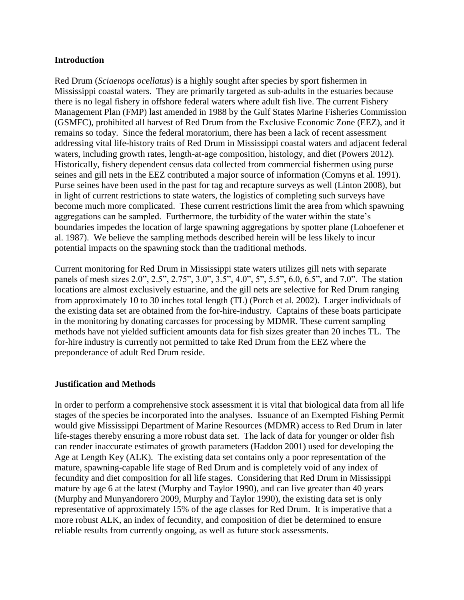#### **Introduction**

Red Drum (*Sciaenops ocellatus*) is a highly sought after species by sport fishermen in Mississippi coastal waters. They are primarily targeted as sub-adults in the estuaries because there is no legal fishery in offshore federal waters where adult fish live. The current Fishery Management Plan (FMP) last amended in 1988 by the Gulf States Marine Fisheries Commission (GSMFC), prohibited all harvest of Red Drum from the Exclusive Economic Zone (EEZ), and it remains so today. Since the federal moratorium, there has been a lack of recent assessment addressing vital life-history traits of Red Drum in Mississippi coastal waters and adjacent federal waters, including growth rates, length-at-age composition, histology, and diet (Powers 2012). Historically, fishery dependent census data collected from commercial fishermen using purse seines and gill nets in the EEZ contributed a major source of information (Comyns et al. 1991). Purse seines have been used in the past for tag and recapture surveys as well (Linton 2008), but in light of current restrictions to state waters, the logistics of completing such surveys have become much more complicated. These current restrictions limit the area from which spawning aggregations can be sampled. Furthermore, the turbidity of the water within the state's boundaries impedes the location of large spawning aggregations by spotter plane (Lohoefener et al. 1987). We believe the sampling methods described herein will be less likely to incur potential impacts on the spawning stock than the traditional methods.

Current monitoring for Red Drum in Mississippi state waters utilizes gill nets with separate panels of mesh sizes 2.0", 2.5", 2.75", 3.0", 3.5", 4.0", 5", 5.5", 6.0, 6.5", and 7.0". The station locations are almost exclusively estuarine, and the gill nets are selective for Red Drum ranging from approximately 10 to 30 inches total length (TL) (Porch et al. 2002). Larger individuals of the existing data set are obtained from the for-hire-industry. Captains of these boats participate in the monitoring by donating carcasses for processing by MDMR. These current sampling methods have not yielded sufficient amounts data for fish sizes greater than 20 inches TL. The for-hire industry is currently not permitted to take Red Drum from the EEZ where the preponderance of adult Red Drum reside.

#### **Justification and Methods**

In order to perform a comprehensive stock assessment it is vital that biological data from all life stages of the species be incorporated into the analyses. Issuance of an Exempted Fishing Permit would give Mississippi Department of Marine Resources (MDMR) access to Red Drum in later life-stages thereby ensuring a more robust data set. The lack of data for younger or older fish can render inaccurate estimates of growth parameters (Haddon 2001) used for developing the Age at Length Key (ALK). The existing data set contains only a poor representation of the mature, spawning-capable life stage of Red Drum and is completely void of any index of fecundity and diet composition for all life stages. Considering that Red Drum in Mississippi mature by age 6 at the latest (Murphy and Taylor 1990), and can live greater than 40 years (Murphy and Munyandorero 2009, Murphy and Taylor 1990), the existing data set is only representative of approximately 15% of the age classes for Red Drum. It is imperative that a more robust ALK, an index of fecundity, and composition of diet be determined to ensure reliable results from currently ongoing, as well as future stock assessments.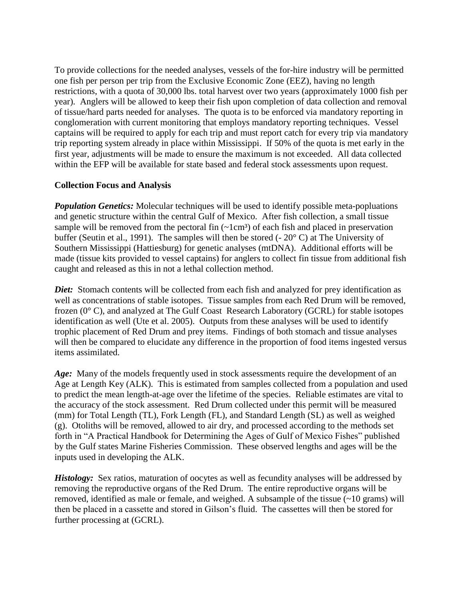To provide collections for the needed analyses, vessels of the for-hire industry will be permitted one fish per person per trip from the Exclusive Economic Zone (EEZ), having no length restrictions, with a quota of 30,000 lbs. total harvest over two years (approximately 1000 fish per year). Anglers will be allowed to keep their fish upon completion of data collection and removal of tissue/hard parts needed for analyses. The quota is to be enforced via mandatory reporting in conglomeration with current monitoring that employs mandatory reporting techniques. Vessel captains will be required to apply for each trip and must report catch for every trip via mandatory trip reporting system already in place within Mississippi. If 50% of the quota is met early in the first year, adjustments will be made to ensure the maximum is not exceeded. All data collected within the EFP will be available for state based and federal stock assessments upon request.

### **Collection Focus and Analysis**

*Population Genetics:* Molecular techniques will be used to identify possible meta-popluations and genetic structure within the central Gulf of Mexico. After fish collection, a small tissue sample will be removed from the pectoral fin  $(\sim 1 \text{ cm}^3)$  of each fish and placed in preservation buffer (Seutin et al., 1991). The samples will then be stored  $(-20^{\circ} \text{ C})$  at The University of Southern Mississippi (Hattiesburg) for genetic analyses (mtDNA). Additional efforts will be made (tissue kits provided to vessel captains) for anglers to collect fin tissue from additional fish caught and released as this in not a lethal collection method.

*Diet:* Stomach contents will be collected from each fish and analyzed for prey identification as well as concentrations of stable isotopes. Tissue samples from each Red Drum will be removed, frozen (0° C), and analyzed at The Gulf Coast Research Laboratory (GCRL) for stable isotopes identification as well (Ute et al. 2005). Outputs from these analyses will be used to identify trophic placement of Red Drum and prey items. Findings of both stomach and tissue analyses will then be compared to elucidate any difference in the proportion of food items ingested versus items assimilated.

Age: Many of the models frequently used in stock assessments require the development of an Age at Length Key (ALK). This is estimated from samples collected from a population and used to predict the mean length-at-age over the lifetime of the species. Reliable estimates are vital to the accuracy of the stock assessment. Red Drum collected under this permit will be measured (mm) for Total Length (TL), Fork Length (FL), and Standard Length (SL) as well as weighed (g). Otoliths will be removed, allowed to air dry, and processed according to the methods set forth in "A Practical Handbook for Determining the Ages of Gulf of Mexico Fishes" published by the Gulf states Marine Fisheries Commission. These observed lengths and ages will be the inputs used in developing the ALK.

*Histology:* Sex ratios, maturation of oocytes as well as fecundity analyses will be addressed by removing the reproductive organs of the Red Drum. The entire reproductive organs will be removed, identified as male or female, and weighed. A subsample of the tissue (~10 grams) will then be placed in a cassette and stored in Gilson's fluid. The cassettes will then be stored for further processing at (GCRL).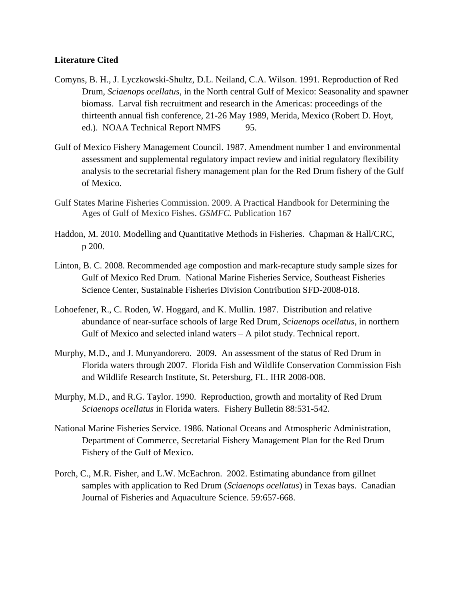#### **Literature Cited**

- Comyns, B. H., J. Lyczkowski-Shultz, D.L. Neiland, C.A. Wilson. 1991. Reproduction of Red Drum, *Sciaenops ocellatus*, in the North central Gulf of Mexico: Seasonality and spawner biomass. Larval fish recruitment and research in the Americas: proceedings of the thirteenth annual fish conference, 21-26 May 1989, Merida, Mexico (Robert D. Hoyt, ed.). NOAA Technical Report NMFS 95.
- Gulf of Mexico Fishery Management Council. 1987. Amendment number 1 and environmental assessment and supplemental regulatory impact review and initial regulatory flexibility analysis to the secretarial fishery management plan for the Red Drum fishery of the Gulf of Mexico.
- Gulf States Marine Fisheries Commission. 2009. A Practical Handbook for Determining the Ages of Gulf of Mexico Fishes. *GSMFC.* Publication 167
- Haddon, M. 2010. Modelling and Quantitative Methods in Fisheries. Chapman & Hall/CRC, p 200.
- Linton, B. C. 2008. Recommended age compostion and mark-recapture study sample sizes for Gulf of Mexico Red Drum. National Marine Fisheries Service, Southeast Fisheries Science Center, Sustainable Fisheries Division Contribution SFD-2008-018.
- Lohoefener, R., C. Roden, W. Hoggard, and K. Mullin. 1987. Distribution and relative abundance of near-surface schools of large Red Drum*, Sciaenops ocellatus*, in northern Gulf of Mexico and selected inland waters – A pilot study. Technical report.
- Murphy, M.D., and J. Munyandorero. 2009. An assessment of the status of Red Drum in Florida waters through 2007. Florida Fish and Wildlife Conservation Commission Fish and Wildlife Research Institute, St. Petersburg, FL. IHR 2008-008.
- Murphy, M.D., and R.G. Taylor. 1990. Reproduction, growth and mortality of Red Drum *Sciaenops ocellatus* in Florida waters. Fishery Bulletin 88:531-542.
- National Marine Fisheries Service. 1986. National Oceans and Atmospheric Administration, Department of Commerce, Secretarial Fishery Management Plan for the Red Drum Fishery of the Gulf of Mexico.
- Porch, C., M.R. Fisher, and L.W. McEachron. 2002. Estimating abundance from gillnet samples with application to Red Drum (*Sciaenops ocellatus*) in Texas bays. Canadian Journal of Fisheries and Aquaculture Science. 59:657-668.